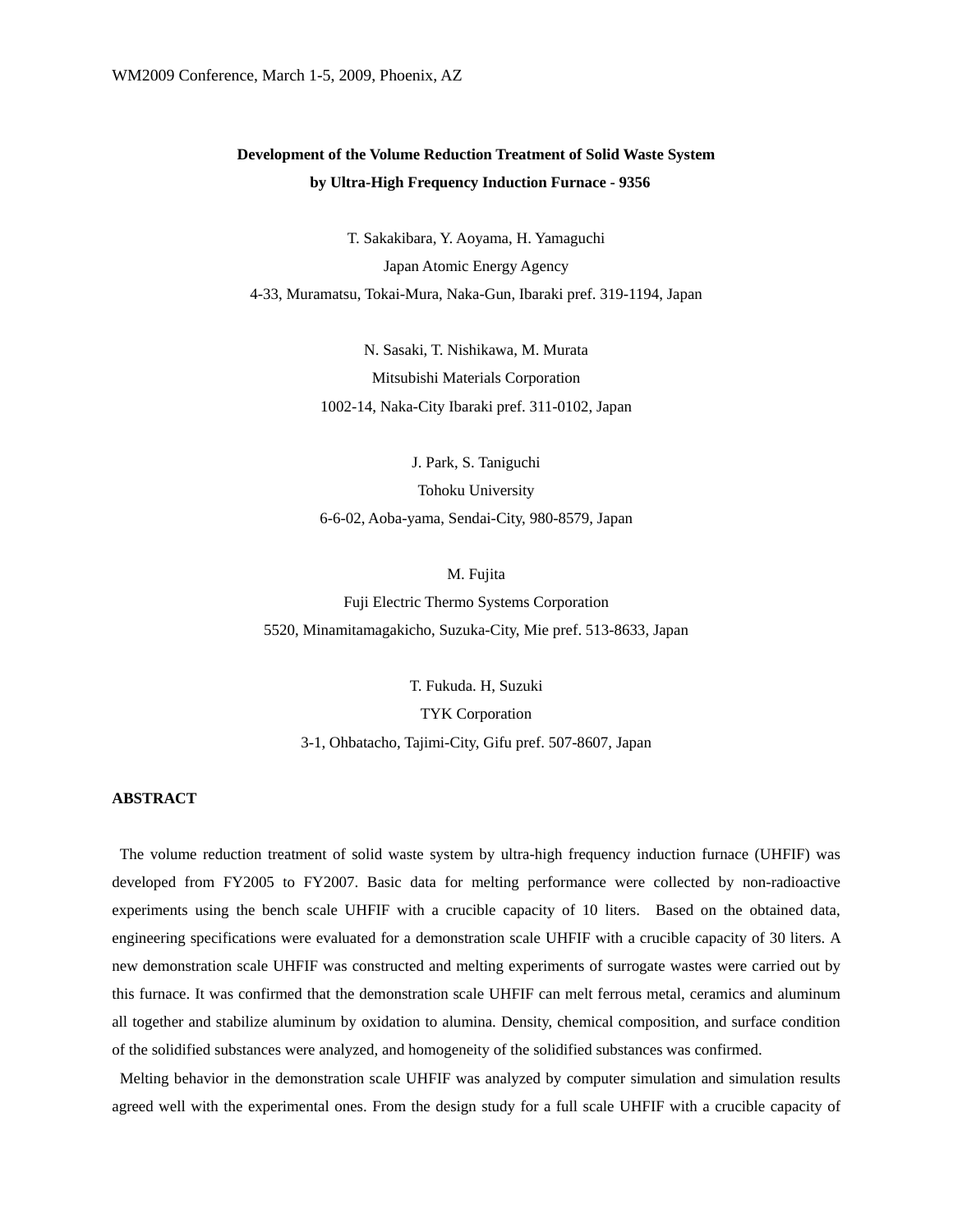# **Development of the Volume Reduction Treatment of Solid Waste System by Ultra-High Frequency Induction Furnace - 9356**

T. Sakakibara, Y. Aoyama, H. Yamaguchi Japan Atomic Energy Agency 4-33, Muramatsu, Tokai-Mura, Naka-Gun, Ibaraki pref. 319-1194, Japan

> N. Sasaki, T. Nishikawa, M. Murata Mitsubishi Materials Corporation 1002-14, Naka-City Ibaraki pref. 311-0102, Japan

J. Park, S. Taniguchi Tohoku University 6-6-02, Aoba-yama, Sendai-City, 980-8579, Japan

M. Fujita Fuji Electric Thermo Systems Corporation 5520, Minamitamagakicho, Suzuka-City, Mie pref. 513-8633, Japan

T. Fukuda. H, Suzuki TYK Corporation 3-1, Ohbatacho, Tajimi-City, Gifu pref. 507-8607, Japan

# **ABSTRACT**

 The volume reduction treatment of solid waste system by ultra-high frequency induction furnace (UHFIF) was developed from FY2005 to FY2007. Basic data for melting performance were collected by non-radioactive experiments using the bench scale UHFIF with a crucible capacity of 10 liters. Based on the obtained data, engineering specifications were evaluated for a demonstration scale UHFIF with a crucible capacity of 30 liters. A new demonstration scale UHFIF was constructed and melting experiments of surrogate wastes were carried out by this furnace. It was confirmed that the demonstration scale UHFIF can melt ferrous metal, ceramics and aluminum all together and stabilize aluminum by oxidation to alumina. Density, chemical composition, and surface condition of the solidified substances were analyzed, and homogeneity of the solidified substances was confirmed.

Melting behavior in the demonstration scale UHFIF was analyzed by computer simulation and simulation results agreed well with the experimental ones. From the design study for a full scale UHFIF with a crucible capacity of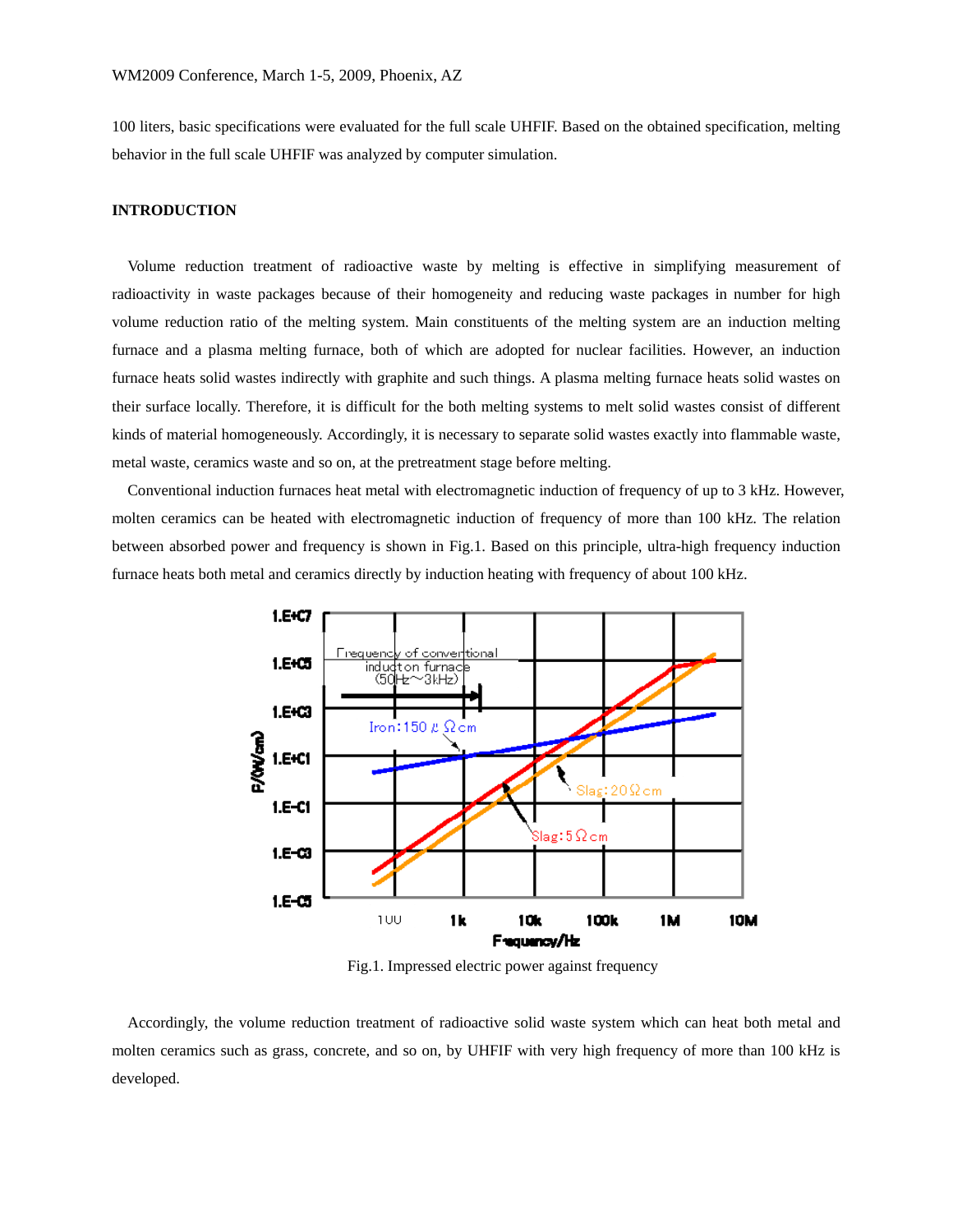100 liters, basic specifications were evaluated for the full scale UHFIF. Based on the obtained specification, melting behavior in the full scale UHFIF was analyzed by computer simulation.

## **INTRODUCTION**

Volume reduction treatment of radioactive waste by melting is effective in simplifying measurement of radioactivity in waste packages because of their homogeneity and reducing waste packages in number for high volume reduction ratio of the melting system. Main constituents of the melting system are an induction melting furnace and a plasma melting furnace, both of which are adopted for nuclear facilities. However, an induction furnace heats solid wastes indirectly with graphite and such things. A plasma melting furnace heats solid wastes on their surface locally. Therefore, it is difficult for the both melting systems to melt solid wastes consist of different kinds of material homogeneously. Accordingly, it is necessary to separate solid wastes exactly into flammable waste, metal waste, ceramics waste and so on, at the pretreatment stage before melting.

Conventional induction furnaces heat metal with electromagnetic induction of frequency of up to 3 kHz. However, molten ceramics can be heated with electromagnetic induction of frequency of more than 100 kHz. The relation between absorbed power and frequency is shown in Fig.1. Based on this principle, ultra-high frequency induction furnace heats both metal and ceramics directly by induction heating with frequency of about 100 kHz.



Fig.1. Impressed electric power against frequency

Accordingly, the volume reduction treatment of radioactive solid waste system which can heat both metal and molten ceramics such as grass, concrete, and so on, by UHFIF with very high frequency of more than 100 kHz is developed.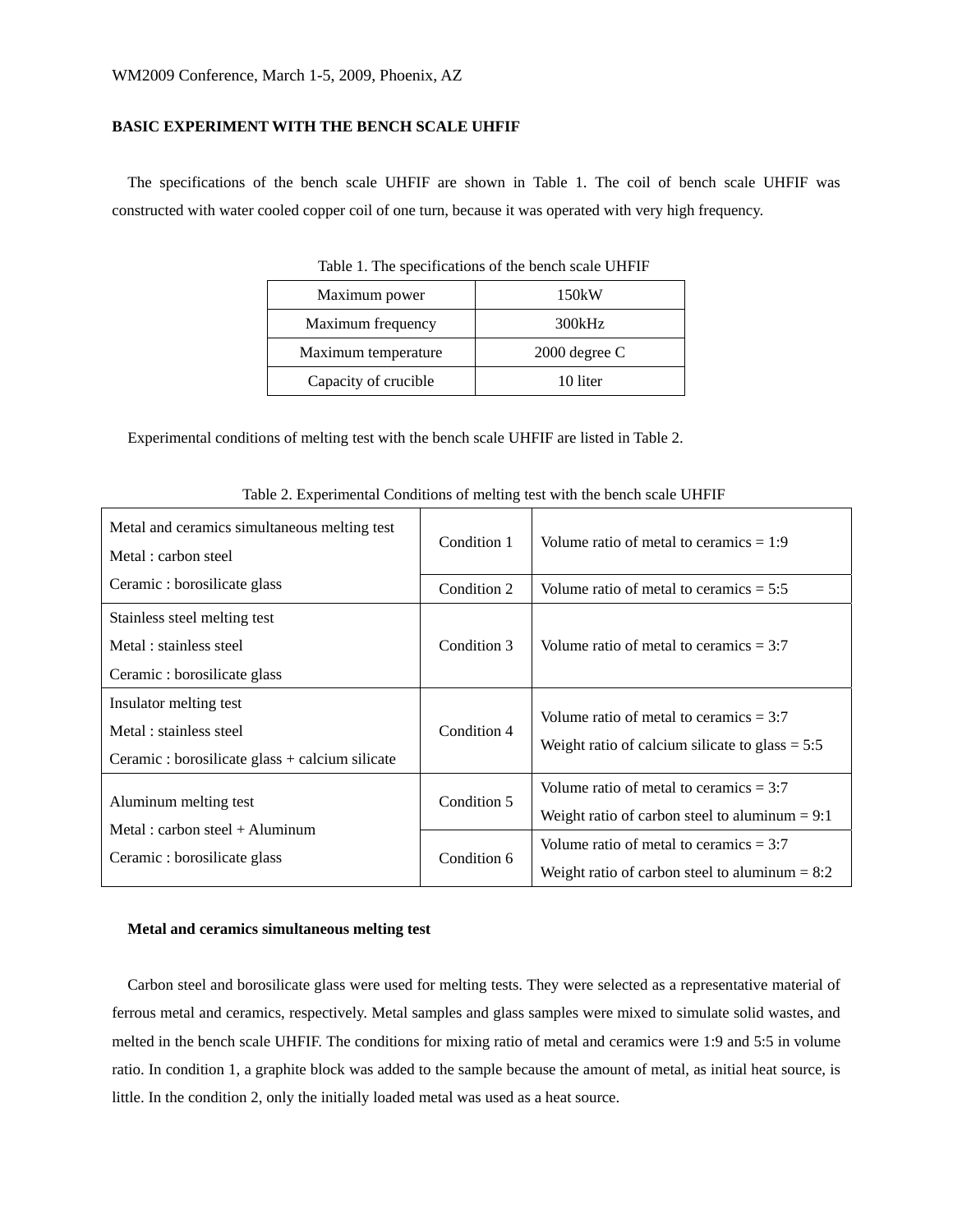# **BASIC EXPERIMENT WITH THE BENCH SCALE UHFIF**

The specifications of the bench scale UHFIF are shown in Table 1. The coil of bench scale UHFIF was constructed with water cooled copper coil of one turn, because it was operated with very high frequency.

| Table 1. The specifications of the bench scale UTTTT |                 |  |  |  |
|------------------------------------------------------|-----------------|--|--|--|
| Maximum power                                        | 150kW           |  |  |  |
| Maximum frequency                                    | 300kHz          |  |  |  |
| Maximum temperature                                  | $2000$ degree C |  |  |  |
| Capacity of crucible<br>10 liter                     |                 |  |  |  |
|                                                      |                 |  |  |  |

Table 1. The specifications of the bench scale UHFIF

Experimental conditions of melting test with the bench scale UHFIF are listed in Table 2.

| Metal and ceramics simultaneous melting test<br>Metal : carbon steel                                | Condition 1 | Volume ratio of metal to ceramics $= 1:9$                                                      |  |
|-----------------------------------------------------------------------------------------------------|-------------|------------------------------------------------------------------------------------------------|--|
| Ceramic: borosilicate glass                                                                         | Condition 2 | Volume ratio of metal to ceramics $= 5:5$                                                      |  |
| Stainless steel melting test<br>Metal : stainless steel<br>Ceramic: borosilicate glass              | Condition 3 | Volume ratio of metal to ceramics $= 3:7$                                                      |  |
| Insulator melting test<br>Metal: stainless steel<br>Ceramic : borosilicate glass + calcium silicate | Condition 4 | Volume ratio of metal to ceramics $= 3:7$<br>Weight ratio of calcium silicate to glass $= 5:5$ |  |
| Aluminum melting test                                                                               | Condition 5 | Volume ratio of metal to ceramics $= 3:7$<br>Weight ratio of carbon steel to aluminum $= 9:1$  |  |
| Metal: carbon steel $+$ Aluminum<br>Ceramic: borosilicate glass                                     | Condition 6 | Volume ratio of metal to ceramics $= 3:7$<br>Weight ratio of carbon steel to aluminum $= 8:2$  |  |

Table 2. Experimental Conditions of melting test with the bench scale UHFIF

## **Metal and ceramics simultaneous melting test**

Carbon steel and borosilicate glass were used for melting tests. They were selected as a representative material of ferrous metal and ceramics, respectively. Metal samples and glass samples were mixed to simulate solid wastes, and melted in the bench scale UHFIF. The conditions for mixing ratio of metal and ceramics were 1:9 and 5:5 in volume ratio. In condition 1, a graphite block was added to the sample because the amount of metal, as initial heat source, is little. In the condition 2, only the initially loaded metal was used as a heat source.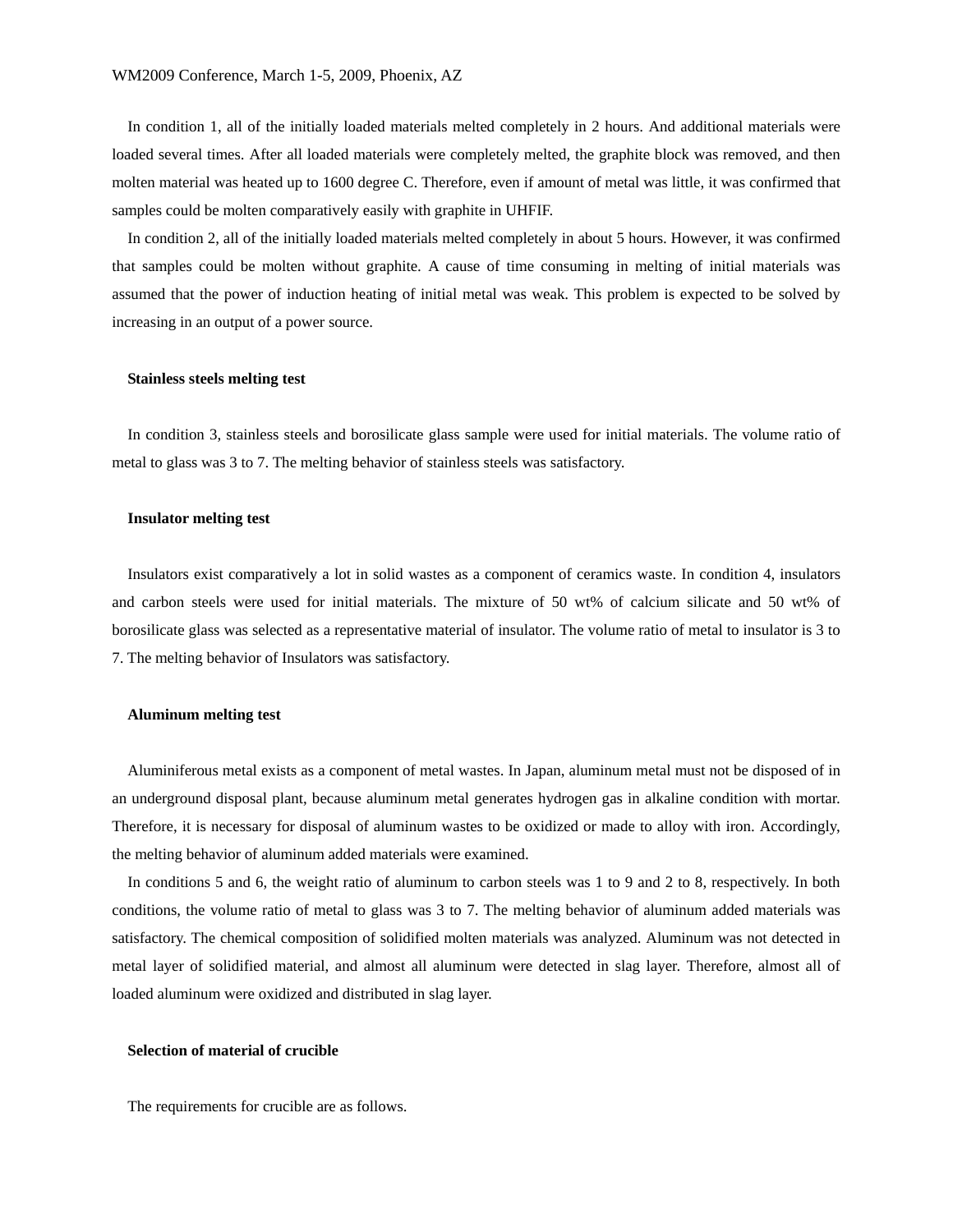In condition 1, all of the initially loaded materials melted completely in 2 hours. And additional materials were loaded several times. After all loaded materials were completely melted, the graphite block was removed, and then molten material was heated up to 1600 degree C. Therefore, even if amount of metal was little, it was confirmed that samples could be molten comparatively easily with graphite in UHFIF.

In condition 2, all of the initially loaded materials melted completely in about 5 hours. However, it was confirmed that samples could be molten without graphite. A cause of time consuming in melting of initial materials was assumed that the power of induction heating of initial metal was weak. This problem is expected to be solved by increasing in an output of a power source.

### **Stainless steels melting test**

In condition 3, stainless steels and borosilicate glass sample were used for initial materials. The volume ratio of metal to glass was 3 to 7. The melting behavior of stainless steels was satisfactory.

## **Insulator melting test**

Insulators exist comparatively a lot in solid wastes as a component of ceramics waste. In condition 4, insulators and carbon steels were used for initial materials. The mixture of 50 wt% of calcium silicate and 50 wt% of borosilicate glass was selected as a representative material of insulator. The volume ratio of metal to insulator is 3 to 7. The melting behavior of Insulators was satisfactory.

#### **Aluminum melting test**

Aluminiferous metal exists as a component of metal wastes. In Japan, aluminum metal must not be disposed of in an underground disposal plant, because aluminum metal generates hydrogen gas in alkaline condition with mortar. Therefore, it is necessary for disposal of aluminum wastes to be oxidized or made to alloy with iron. Accordingly, the melting behavior of aluminum added materials were examined.

In conditions 5 and 6, the weight ratio of aluminum to carbon steels was 1 to 9 and 2 to 8, respectively. In both conditions, the volume ratio of metal to glass was 3 to 7. The melting behavior of aluminum added materials was satisfactory. The chemical composition of solidified molten materials was analyzed. Aluminum was not detected in metal layer of solidified material, and almost all aluminum were detected in slag layer. Therefore, almost all of loaded aluminum were oxidized and distributed in slag layer.

### **Selection of material of crucible**

The requirements for crucible are as follows.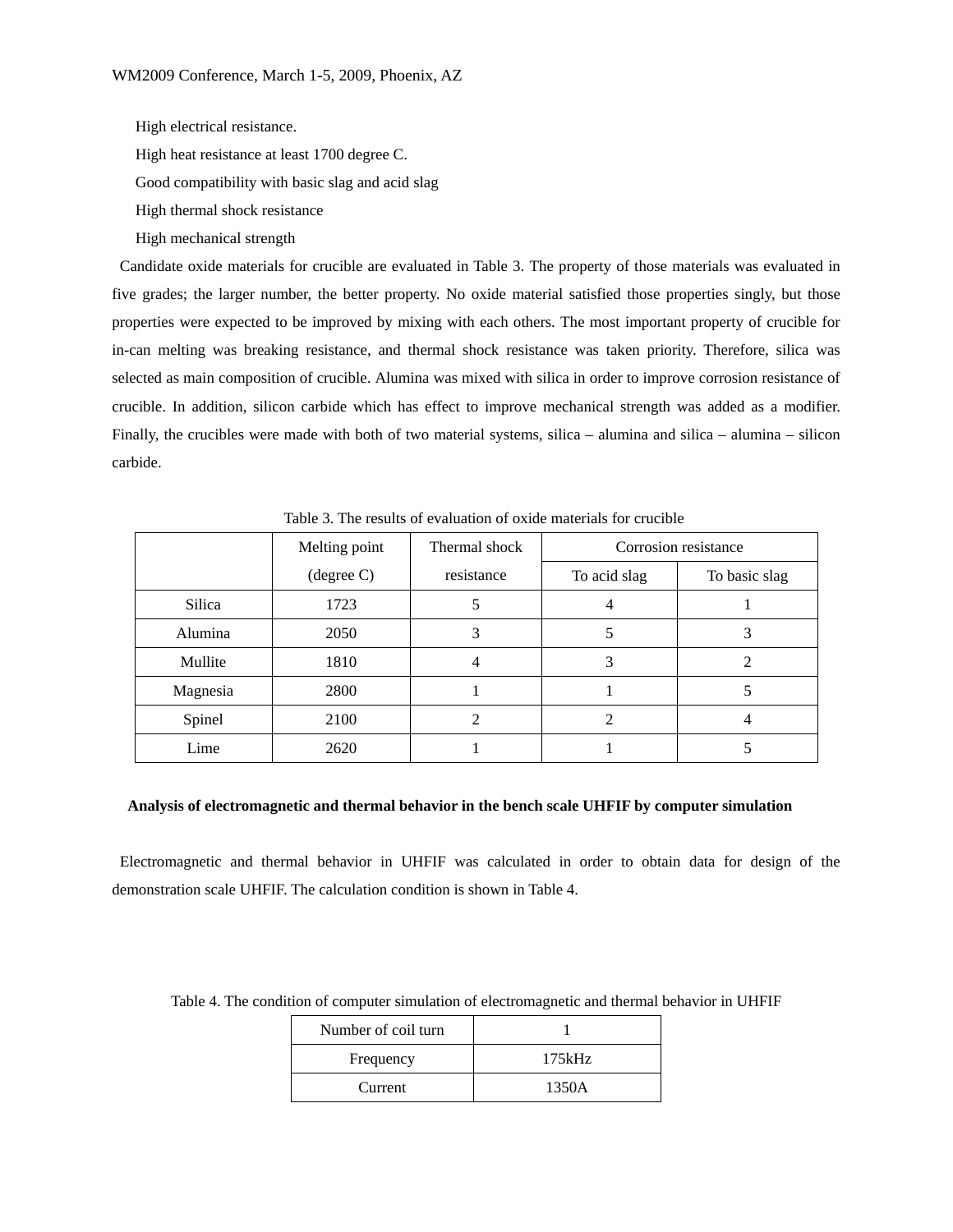High electrical resistance.

High heat resistance at least 1700 degree C.

Good compatibility with basic slag and acid slag

High thermal shock resistance

High mechanical strength

 Candidate oxide materials for crucible are evaluated in Table 3. The property of those materials was evaluated in five grades; the larger number, the better property. No oxide material satisfied those properties singly, but those properties were expected to be improved by mixing with each others. The most important property of crucible for in-can melting was breaking resistance, and thermal shock resistance was taken priority. Therefore, silica was selected as main composition of crucible. Alumina was mixed with silica in order to improve corrosion resistance of crucible. In addition, silicon carbide which has effect to improve mechanical strength was added as a modifier. Finally, the crucibles were made with both of two material systems, silica – alumina and silica – alumina – silicon carbide.

|          | Melting point        | Thermal shock | Corrosion resistance |               |
|----------|----------------------|---------------|----------------------|---------------|
|          | $(\text{degree } C)$ | resistance    | To acid slag         | To basic slag |
| Silica   | 1723                 | C             | 4                    |               |
| Alumina  | 2050                 |               |                      |               |
| Mullite  | 1810                 | 4             | 3                    | ∍             |
| Magnesia | 2800                 |               |                      |               |
| Spinel   | 2100                 |               |                      |               |
| Lime     | 2620                 |               |                      |               |

Table 3. The results of evaluation of oxide materials for crucible

# **Analysis of electromagnetic and thermal behavior in the bench scale UHFIF by computer simulation**

Electromagnetic and thermal behavior in UHFIF was calculated in order to obtain data for design of the demonstration scale UHFIF. The calculation condition is shown in Table 4.

| Number of coil turn |        |
|---------------------|--------|
| Frequency           | 175kHz |
| Current             | 1350A  |

Table 4. The condition of computer simulation of electromagnetic and thermal behavior in UHFIF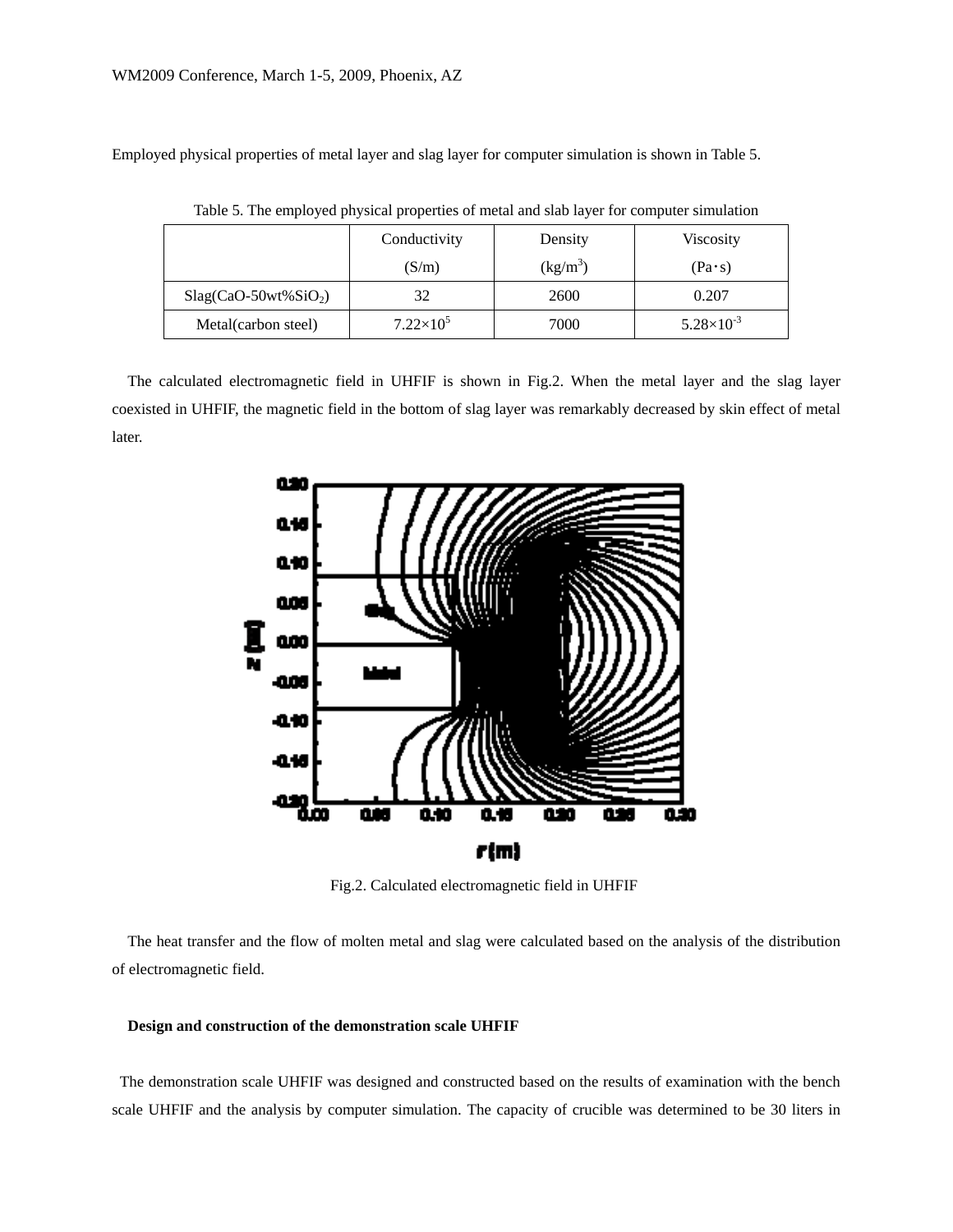Employed physical properties of metal layer and slag layer for computer simulation is shown in Table 5.

|                        | Conductivity       | Density    | <b>Viscosity</b>      |
|------------------------|--------------------|------------|-----------------------|
|                        | (S/m)              | $(kg/m^3)$ | $(Pa \cdot s)$        |
| $Slag(CaO-50wt\%SiO2)$ | 32                 | 2600       | 0.207                 |
| Metal(carbon steel)    | $7.22\times10^{5}$ | 7000       | $5.28 \times 10^{-3}$ |

Table 5. The employed physical properties of metal and slab layer for computer simulation

The calculated electromagnetic field in UHFIF is shown in Fig.2. When the metal layer and the slag layer coexisted in UHFIF, the magnetic field in the bottom of slag layer was remarkably decreased by skin effect of metal later.



Fig.2. Calculated electromagnetic field in UHFIF

The heat transfer and the flow of molten metal and slag were calculated based on the analysis of the distribution of electromagnetic field.

# **Design and construction of the demonstration scale UHFIF**

The demonstration scale UHFIF was designed and constructed based on the results of examination with the bench scale UHFIF and the analysis by computer simulation. The capacity of crucible was determined to be 30 liters in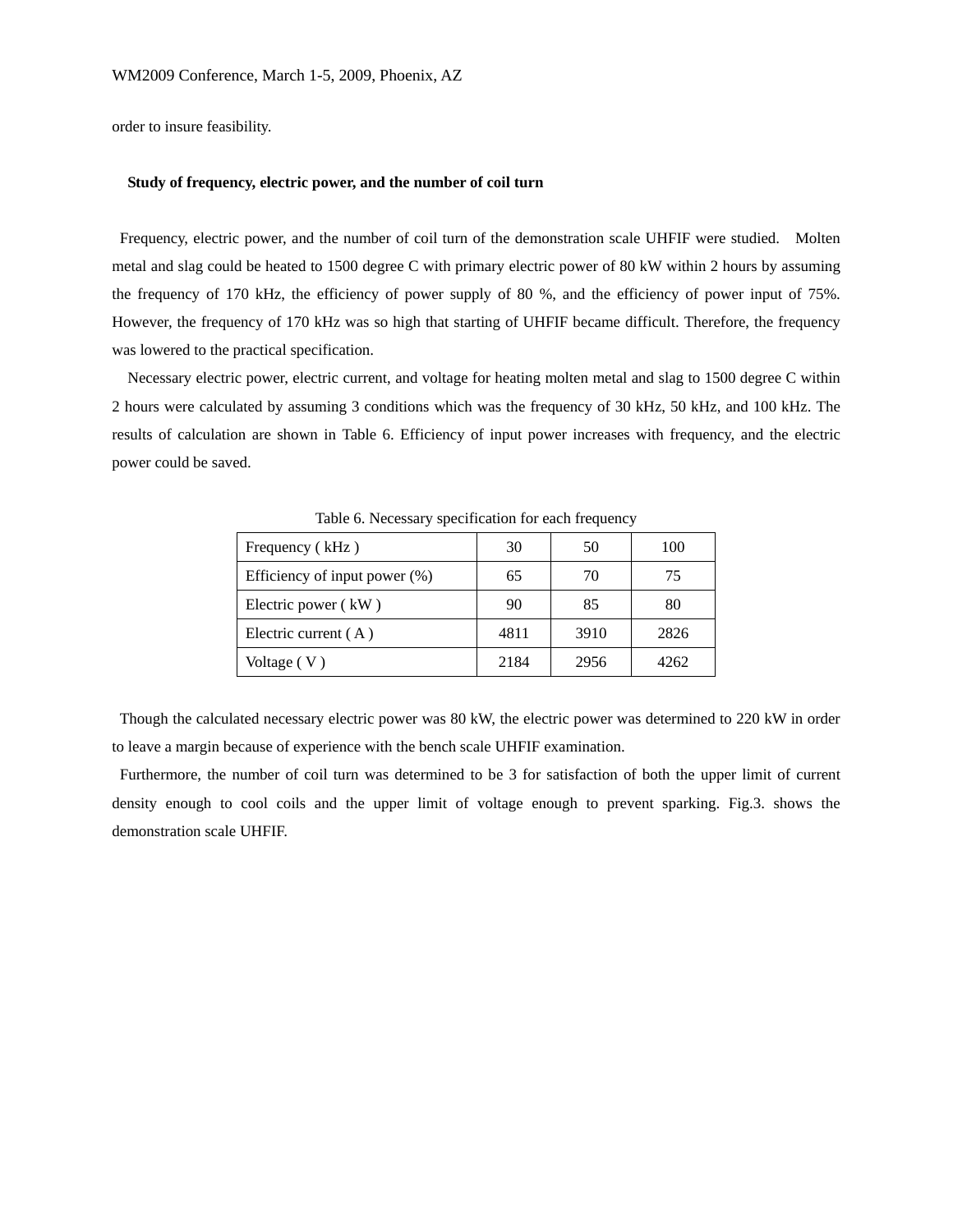order to insure feasibility.

## **Study of frequency, electric power, and the number of coil turn**

Frequency, electric power, and the number of coil turn of the demonstration scale UHFIF were studied. Molten metal and slag could be heated to 1500 degree C with primary electric power of 80 kW within 2 hours by assuming the frequency of 170 kHz, the efficiency of power supply of 80 %, and the efficiency of power input of 75%. However, the frequency of 170 kHz was so high that starting of UHFIF became difficult. Therefore, the frequency was lowered to the practical specification.

Necessary electric power, electric current, and voltage for heating molten metal and slag to 1500 degree C within 2 hours were calculated by assuming 3 conditions which was the frequency of 30 kHz, 50 kHz, and 100 kHz. The results of calculation are shown in Table 6. Efficiency of input power increases with frequency, and the electric power could be saved.

| Frequency (kHz)                  | 30   | 50   | 100         |
|----------------------------------|------|------|-------------|
| Efficiency of input power $(\%)$ | 65   | 70   | $^{\prime}$ |
| Electric power (kW)              | 90   | 85   | 80          |
| Electric current $(A)$           | 4811 | 3910 | 2826        |
| Voltage (V)                      | 2184 | 2956 | 4262        |

Table 6. Necessary specification for each frequency

 Though the calculated necessary electric power was 80 kW, the electric power was determined to 220 kW in order to leave a margin because of experience with the bench scale UHFIF examination.

Furthermore, the number of coil turn was determined to be 3 for satisfaction of both the upper limit of current density enough to cool coils and the upper limit of voltage enough to prevent sparking. Fig.3. shows the demonstration scale UHFIF.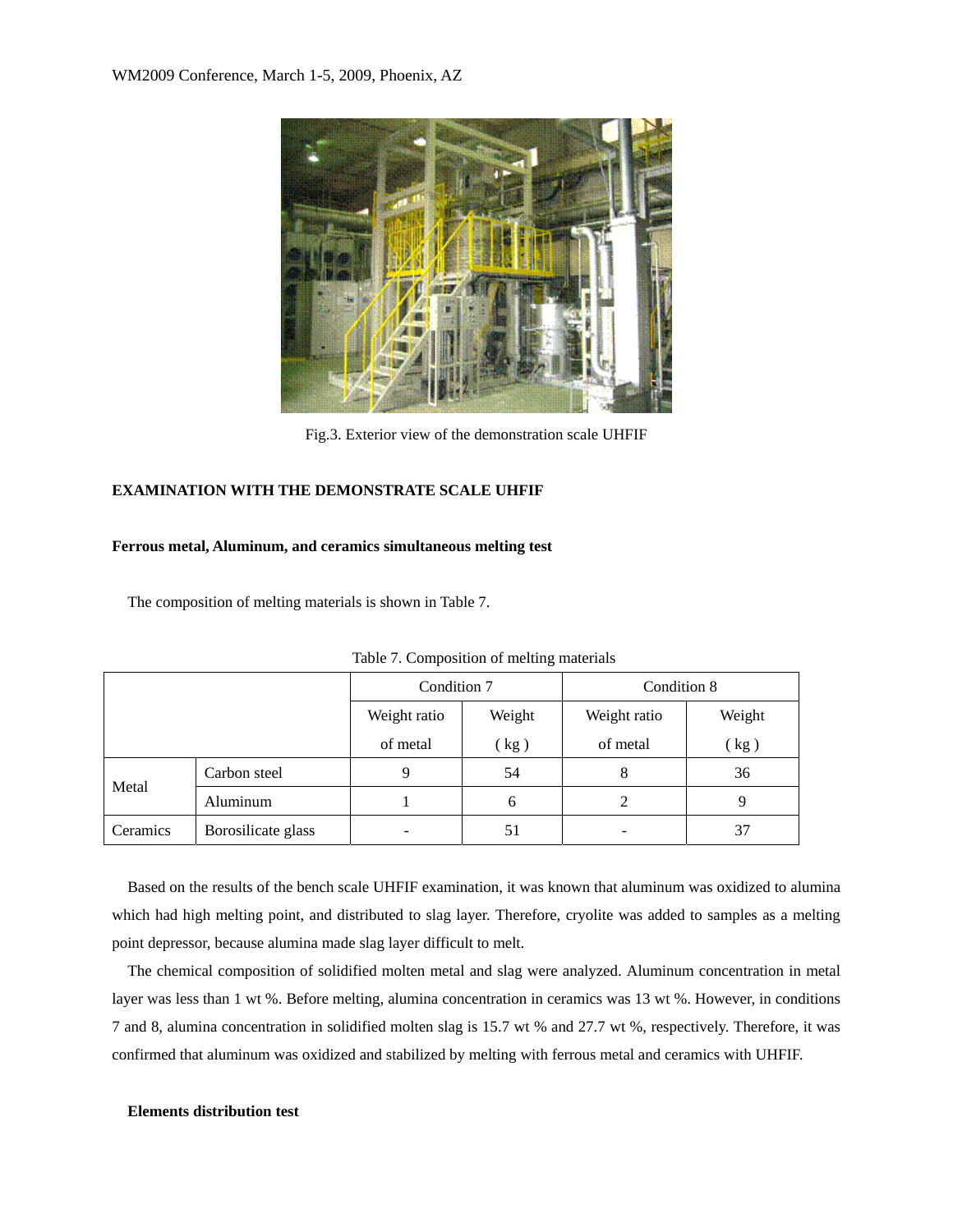

Fig.3. Exterior view of the demonstration scale UHFIF

# **EXAMINATION WITH THE DEMONSTRATE SCALE UHFIF**

## **Ferrous metal, Aluminum, and ceramics simultaneous melting test**

The composition of melting materials is shown in Table 7.

|          |                    | Condition 7  |                            | Condition 8  |        |  |
|----------|--------------------|--------------|----------------------------|--------------|--------|--|
|          |                    | Weight ratio | Weight                     | Weight ratio | Weight |  |
|          |                    | of metal     | $\left(\mathrm{kg}\right)$ | of metal     | (kg)   |  |
|          | Carbon steel       | 9            | 54                         | 8            | 36     |  |
| Metal    | Aluminum           |              | 6                          | 2            | 9      |  |
| Ceramics | Borosilicate glass | 51           |                            |              | 37     |  |

Table 7. Composition of melting materials

Based on the results of the bench scale UHFIF examination, it was known that aluminum was oxidized to alumina which had high melting point, and distributed to slag layer. Therefore, cryolite was added to samples as a melting point depressor, because alumina made slag layer difficult to melt.

The chemical composition of solidified molten metal and slag were analyzed. Aluminum concentration in metal layer was less than 1 wt %. Before melting, alumina concentration in ceramics was 13 wt %. However, in conditions 7 and 8, alumina concentration in solidified molten slag is 15.7 wt % and 27.7 wt %, respectively. Therefore, it was confirmed that aluminum was oxidized and stabilized by melting with ferrous metal and ceramics with UHFIF.

## **Elements distribution test**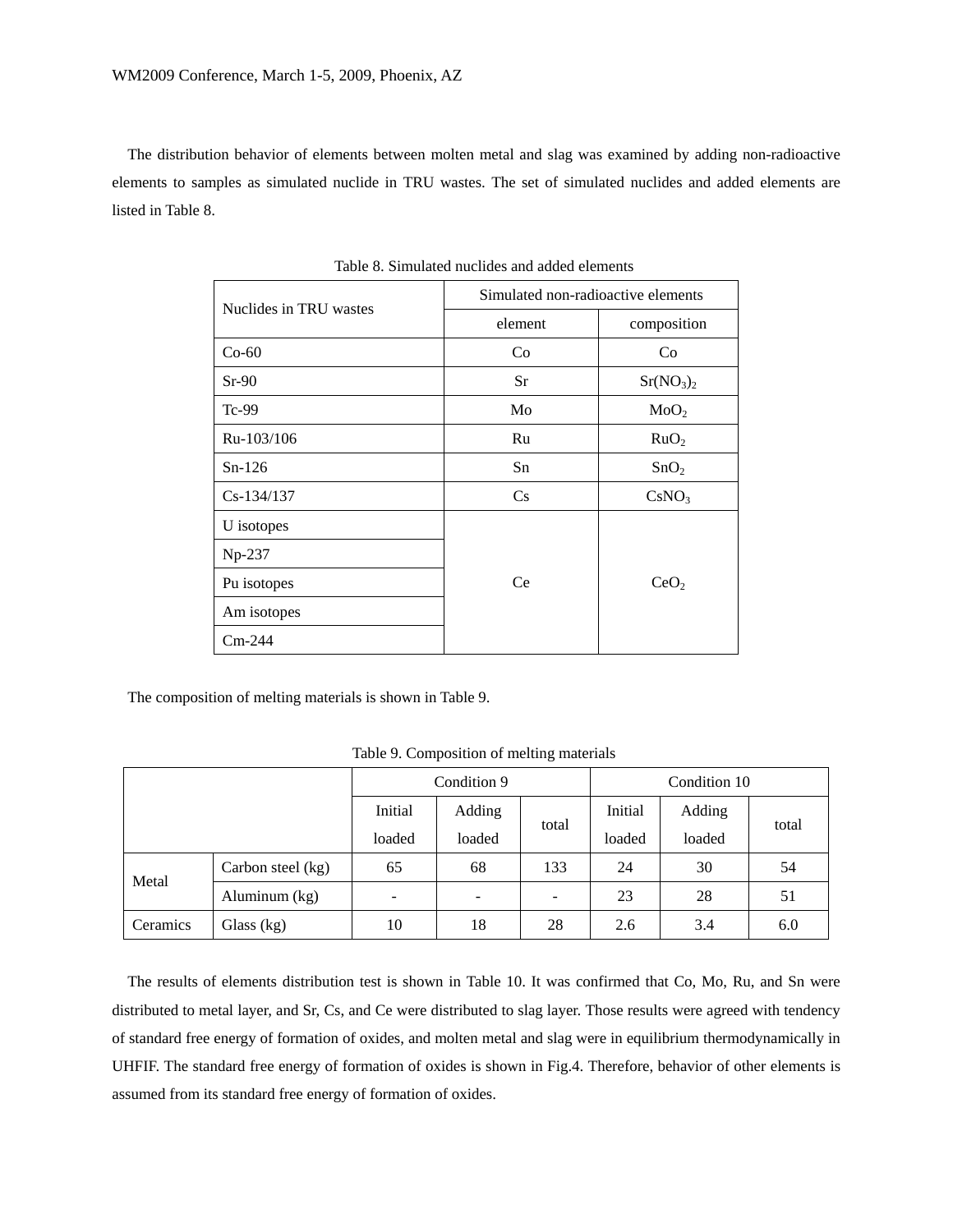The distribution behavior of elements between molten metal and slag was examined by adding non-radioactive elements to samples as simulated nuclide in TRU wastes. The set of simulated nuclides and added elements are listed in Table 8.

| Nuclides in TRU wastes | Simulated non-radioactive elements |                                   |  |  |  |
|------------------------|------------------------------------|-----------------------------------|--|--|--|
|                        | element                            | composition                       |  |  |  |
| $Co-60$                | Co                                 | Co                                |  |  |  |
| $Sr-90$                | Sr                                 | Sr(NO <sub>3</sub> ) <sub>2</sub> |  |  |  |
| Tc-99                  | Mo                                 | MoO <sub>2</sub>                  |  |  |  |
| Ru-103/106             | Ru                                 | RuO <sub>2</sub>                  |  |  |  |
| $Sn-126$               | Sn                                 | SnO <sub>2</sub>                  |  |  |  |
| $Cs - 134/137$         | Cs                                 | CsNO <sub>3</sub>                 |  |  |  |
| U isotopes             |                                    |                                   |  |  |  |
| Np-237                 |                                    |                                   |  |  |  |
| Pu isotopes            | Ce                                 | CeO <sub>2</sub>                  |  |  |  |
| Am isotopes            |                                    |                                   |  |  |  |
| $Cm-244$               |                                    |                                   |  |  |  |

Table 8. Simulated nuclides and added elements

The composition of melting materials is shown in Table 9.

|          |                   | Condition 9              |        |       | Condition 10 |        |       |
|----------|-------------------|--------------------------|--------|-------|--------------|--------|-------|
|          |                   | Initial                  | Adding | total | Initial      | Adding | total |
|          |                   | loaded                   | loaded |       | loaded       | loaded |       |
|          | Carbon steel (kg) | 65                       | 68     | 133   | 24           | 30     | 54    |
| Metal    | Aluminum (kg)     | $\overline{\phantom{a}}$ | ۰      | -     | 23           | 28     | 51    |
| Ceramics | Glass $(kg)$      | 10                       | 18     | 28    | 2.6          | 3.4    | 6.0   |

Table 9. Composition of melting materials

The results of elements distribution test is shown in Table 10. It was confirmed that Co, Mo, Ru, and Sn were distributed to metal layer, and Sr, Cs, and Ce were distributed to slag layer. Those results were agreed with tendency of standard free energy of formation of oxides, and molten metal and slag were in equilibrium thermodynamically in UHFIF. The standard free energy of formation of oxides is shown in Fig.4. Therefore, behavior of other elements is assumed from its standard free energy of formation of oxides.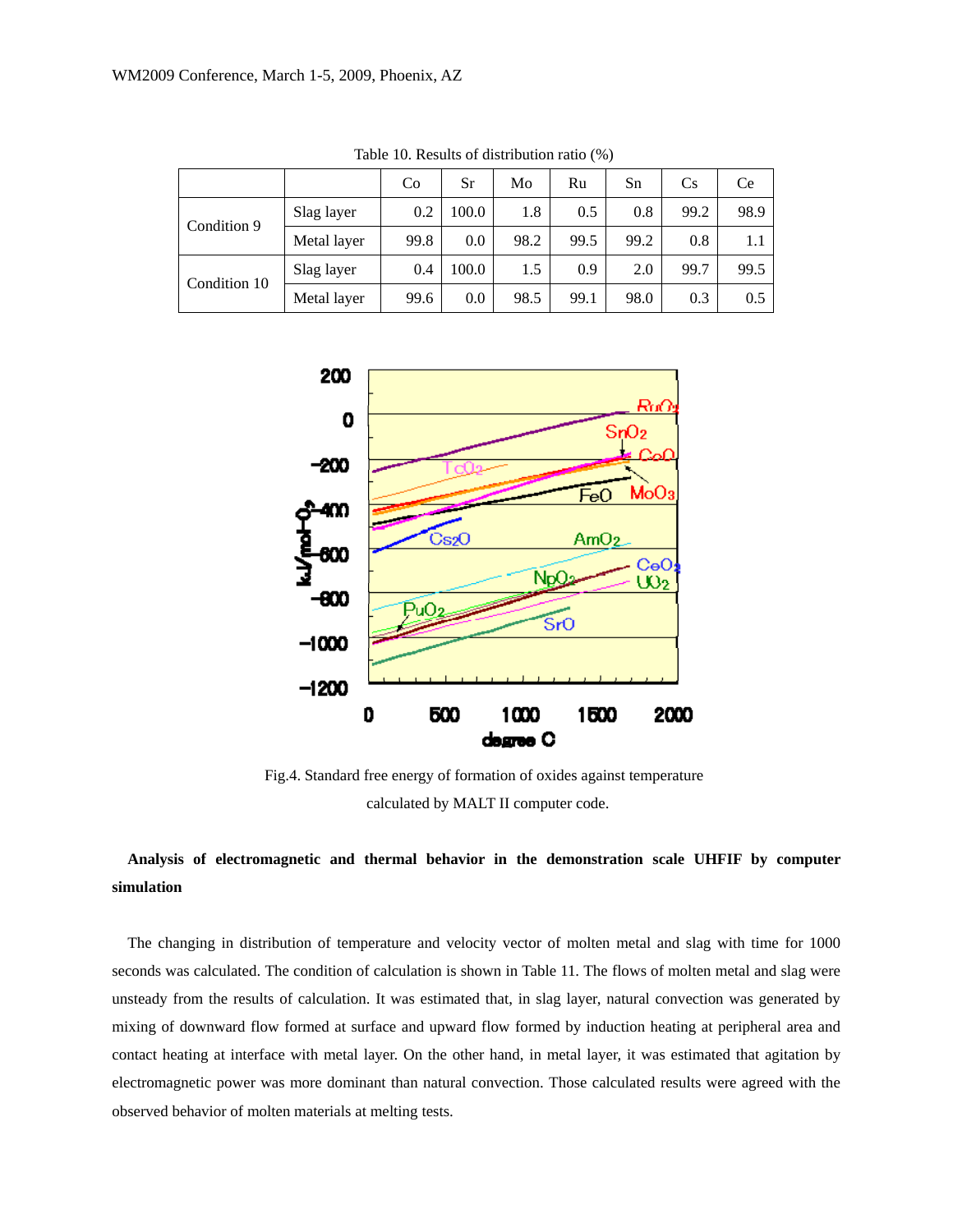|              |             | Co   | Sr    | Mo   | Ru   | Sn   | Cs   | Ce   |
|--------------|-------------|------|-------|------|------|------|------|------|
|              | Slag layer  | 0.2  | 100.0 | 1.8  | 0.5  | 0.8  | 99.2 | 98.9 |
| Condition 9  | Metal layer | 99.8 | 0.0   | 98.2 | 99.5 | 99.2 | 0.8  | 1.1  |
| Condition 10 | Slag layer  | 0.4  | 100.0 | 1.5  | 0.9  | 2.0  | 99.7 | 99.5 |
|              | Metal layer | 99.6 | 0.0   | 98.5 | 99.1 | 98.0 | 0.3  | 0.5  |

Table 10. Results of distribution ratio (%)



Fig.4. Standard free energy of formation of oxides against temperature calculated by MALT II computer code.

# **Analysis of electromagnetic and thermal behavior in the demonstration scale UHFIF by computer simulation**

The changing in distribution of temperature and velocity vector of molten metal and slag with time for 1000 seconds was calculated. The condition of calculation is shown in Table 11. The flows of molten metal and slag were unsteady from the results of calculation. It was estimated that, in slag layer, natural convection was generated by mixing of downward flow formed at surface and upward flow formed by induction heating at peripheral area and contact heating at interface with metal layer. On the other hand, in metal layer, it was estimated that agitation by electromagnetic power was more dominant than natural convection. Those calculated results were agreed with the observed behavior of molten materials at melting tests.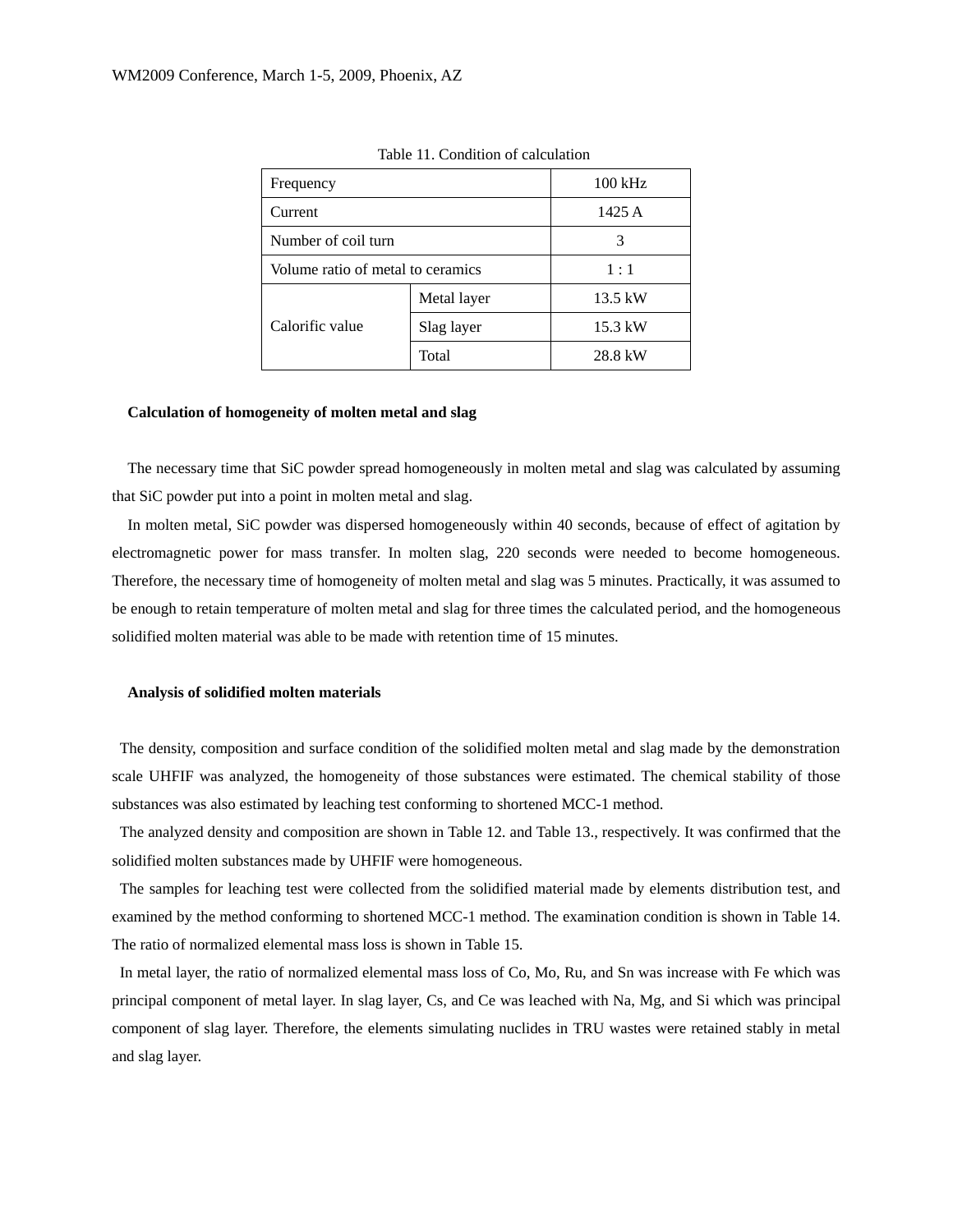| Frequency                         |             | $100$ kHz |
|-----------------------------------|-------------|-----------|
| Current                           |             | 1425 A    |
| Number of coil turn               |             | 3         |
| Volume ratio of metal to ceramics |             | 1:1       |
|                                   | Metal layer | 13.5 kW   |
| Calorific value                   | Slag layer  | 15.3 kW   |
|                                   | Total       | 28.8 kW   |

Table 11. Condition of calculation

### **Calculation of homogeneity of molten metal and slag**

The necessary time that SiC powder spread homogeneously in molten metal and slag was calculated by assuming that SiC powder put into a point in molten metal and slag.

In molten metal, SiC powder was dispersed homogeneously within 40 seconds, because of effect of agitation by electromagnetic power for mass transfer. In molten slag, 220 seconds were needed to become homogeneous. Therefore, the necessary time of homogeneity of molten metal and slag was 5 minutes. Practically, it was assumed to be enough to retain temperature of molten metal and slag for three times the calculated period, and the homogeneous solidified molten material was able to be made with retention time of 15 minutes.

## **Analysis of solidified molten materials**

The density, composition and surface condition of the solidified molten metal and slag made by the demonstration scale UHFIF was analyzed, the homogeneity of those substances were estimated. The chemical stability of those substances was also estimated by leaching test conforming to shortened MCC-1 method.

 The analyzed density and composition are shown in Table 12. and Table 13., respectively. It was confirmed that the solidified molten substances made by UHFIF were homogeneous.

 The samples for leaching test were collected from the solidified material made by elements distribution test, and examined by the method conforming to shortened MCC-1 method. The examination condition is shown in Table 14. The ratio of normalized elemental mass loss is shown in Table 15.

 In metal layer, the ratio of normalized elemental mass loss of Co, Mo, Ru, and Sn was increase with Fe which was principal component of metal layer. In slag layer, Cs, and Ce was leached with Na, Mg, and Si which was principal component of slag layer. Therefore, the elements simulating nuclides in TRU wastes were retained stably in metal and slag layer.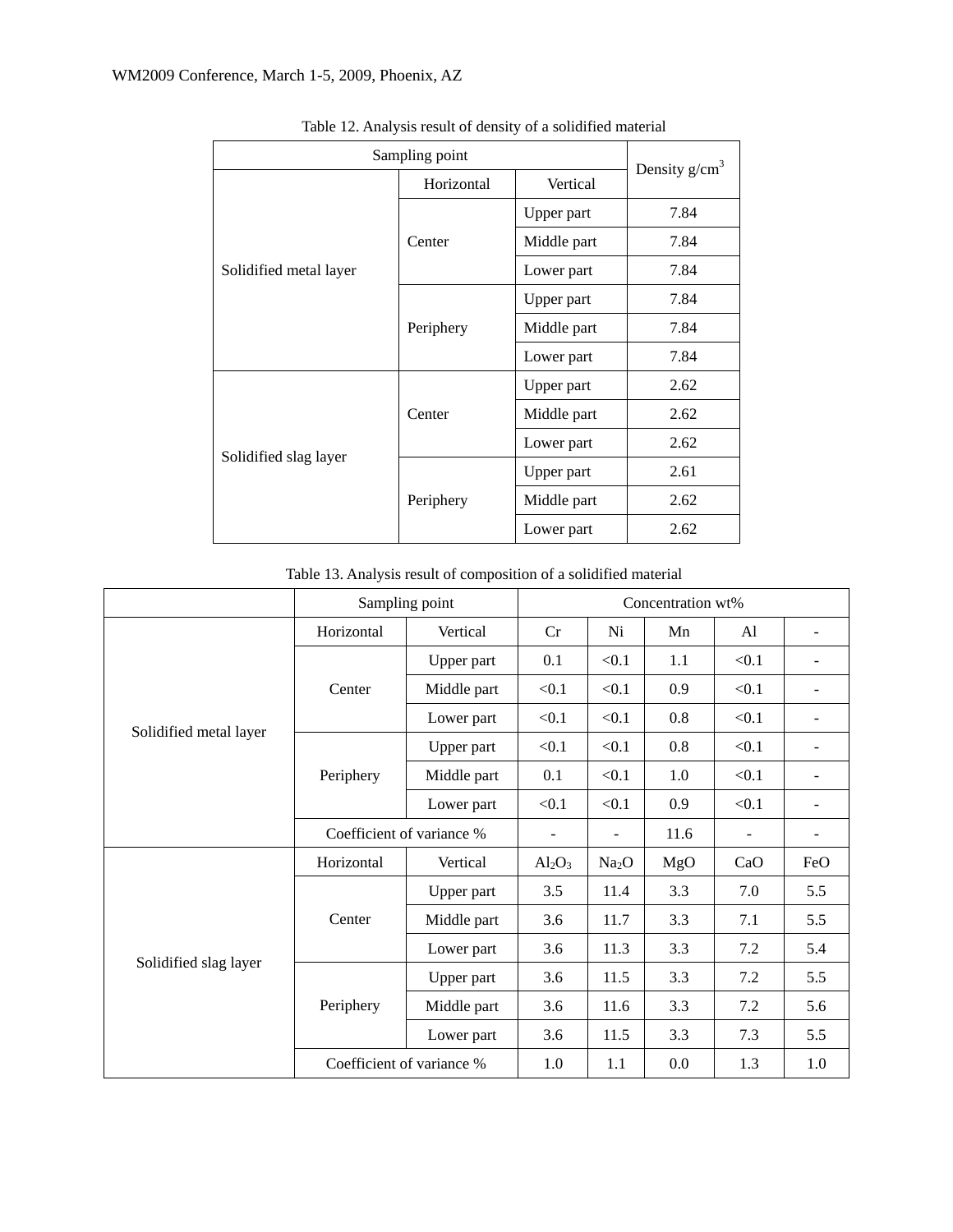| Sampling point         | Density $g/cm3$ |             |      |
|------------------------|-----------------|-------------|------|
|                        | Horizontal      | Vertical    |      |
|                        |                 | Upper part  | 7.84 |
|                        | Center          | Middle part | 7.84 |
| Solidified metal layer |                 | Lower part  | 7.84 |
|                        |                 | Upper part  | 7.84 |
|                        | Periphery       | Middle part | 7.84 |
|                        |                 | Lower part  | 7.84 |
|                        |                 | Upper part  | 2.62 |
|                        | Center          | Middle part | 2.62 |
| Solidified slag layer  |                 | Lower part  | 2.62 |
|                        |                 | Upper part  | 2.61 |
|                        | Periphery       | Middle part | 2.62 |
|                        |                 | Lower part  | 2.62 |

Table 12. Analysis result of density of a solidified material

Table 13. Analysis result of composition of a solidified material

|                        | Sampling point            | Concentration wt% |                |                   |                |       |     |
|------------------------|---------------------------|-------------------|----------------|-------------------|----------------|-------|-----|
| Solidified metal layer | Horizontal                | Vertical          | Cr             | Ni                | Mn             | Al    |     |
|                        |                           | Upper part        | 0.1            | < 0.1             | 1.1            | < 0.1 |     |
|                        | Center                    | Middle part       | < 0.1          | < 0.1             | 0.9            | < 0.1 |     |
|                        |                           | Lower part        | < 0.1          | < 0.1             | 0.8            | < 0.1 |     |
|                        |                           | Upper part        | < 0.1          | < 0.1             | 0.8            | < 0.1 |     |
|                        | Periphery                 | Middle part       | 0.1            | < 0.1             | 1.0            | < 0.1 |     |
|                        |                           | Lower part        | < 0.1          | < 0.1             | 0.9            | < 0.1 |     |
|                        | Coefficient of variance % | -                 | $\blacksquare$ | 11.6              | $\blacksquare$ |       |     |
| Solidified slag layer  | Horizontal                | Vertical          | $Al_2O_3$      | Na <sub>2</sub> O | MgO            | CaO   | FeO |
|                        |                           | Upper part        | 3.5            | 11.4              | 3.3            | 7.0   | 5.5 |
|                        | Center                    | Middle part       | 3.6            | 11.7              | 3.3            | 7.1   | 5.5 |
|                        |                           | Lower part        | 7.2            | 5.4               |                |       |     |
|                        |                           | Upper part        | 3.6            | 11.5              | 3.3            | 7.2   | 5.5 |
|                        | Periphery                 | Middle part       | 3.6            | 11.6              | 3.3            | 7.2   | 5.6 |
|                        |                           | Lower part        | 3.6            | 11.5              | 3.3            | 7.3   | 5.5 |
|                        | Coefficient of variance % | 1.0               | 1.1            | 0.0               | 1.3            | 1.0   |     |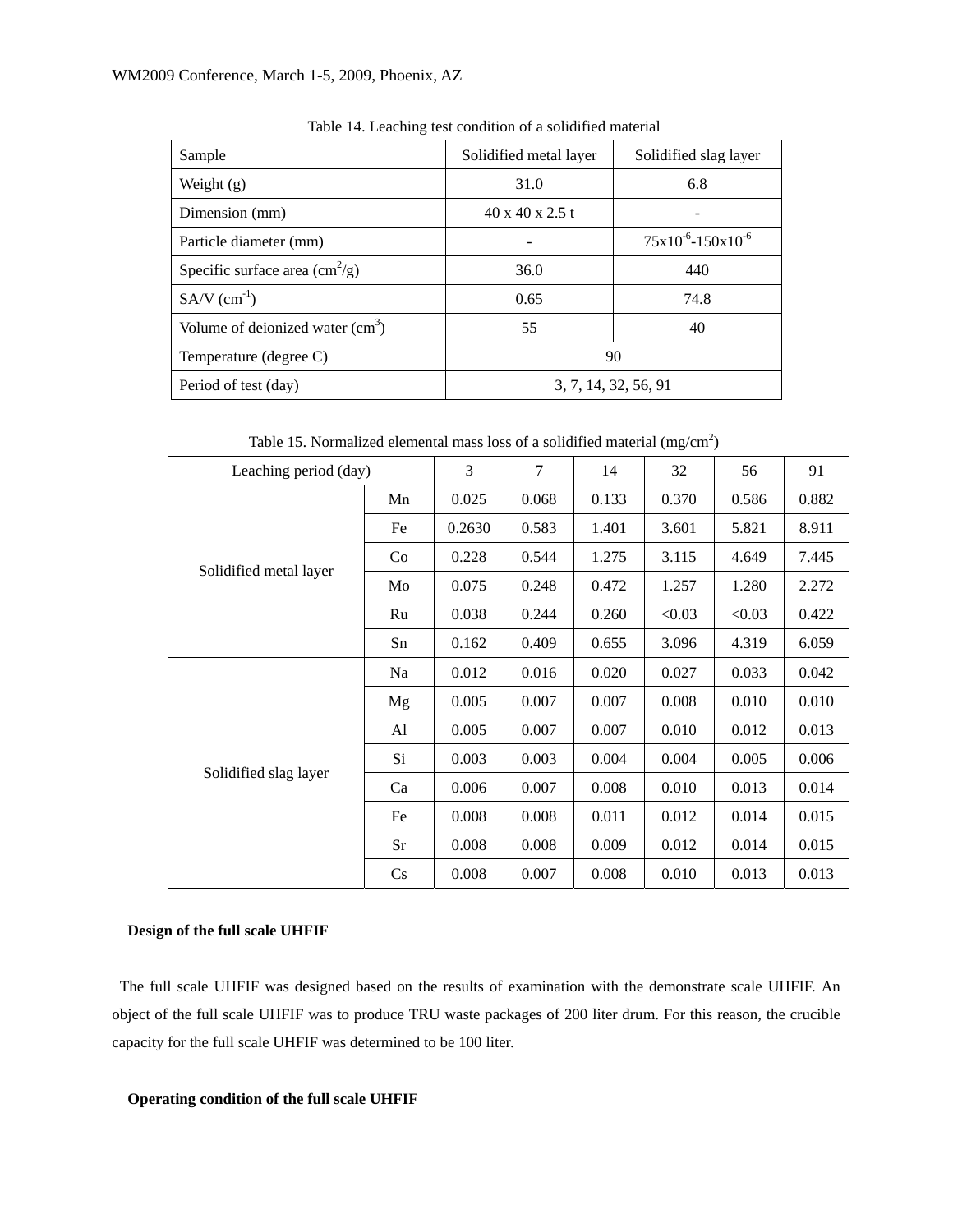| Sample                                         | Solidified metal layer      | Solidified slag layer      |  |  |  |  |
|------------------------------------------------|-----------------------------|----------------------------|--|--|--|--|
| Weight (g)                                     | 31.0                        | 6.8                        |  |  |  |  |
| Dimension (mm)                                 | $40 \times 40 \times 2.5$ t |                            |  |  |  |  |
| Particle diameter (mm)                         |                             | $75x10^{-6} - 150x10^{-6}$ |  |  |  |  |
| Specific surface area $\text{cm}^2/\text{g}$ ) | 36.0                        | 440                        |  |  |  |  |
| $SA/V$ (cm <sup>-1</sup> )                     | 0.65                        | 74.8                       |  |  |  |  |
| Volume of deionized water $(cm3)$              | 55                          | 40                         |  |  |  |  |
| Temperature (degree C)                         | 90                          |                            |  |  |  |  |
| Period of test (day)                           |                             | 3, 7, 14, 32, 56, 91       |  |  |  |  |

Table 14. Leaching test condition of a solidified material

Table 15. Normalized elemental mass loss of a solidified material  $(mg/cm<sup>2</sup>)$ 

| Leaching period (day)  |                        | 3      | 7     | 14    | 32     | 56     | 91    |
|------------------------|------------------------|--------|-------|-------|--------|--------|-------|
| Solidified metal layer | Mn                     | 0.025  | 0.068 | 0.133 | 0.370  | 0.586  | 0.882 |
|                        | Fe                     | 0.2630 | 0.583 | 1.401 | 3.601  | 5.821  | 8.911 |
|                        | Co.                    | 0.228  | 0.544 | 1.275 | 3.115  | 4.649  | 7.445 |
|                        | Mo                     | 0.075  | 0.248 | 0.472 | 1.257  | 1.280  | 2.272 |
|                        | Ru                     | 0.038  | 0.244 | 0.260 | < 0.03 | < 0.03 | 0.422 |
|                        | Sn                     | 0.162  | 0.409 | 0.655 | 3.096  | 4.319  | 6.059 |
| Solidified slag layer  | Na                     | 0.012  | 0.016 | 0.020 | 0.027  | 0.033  | 0.042 |
|                        | Mg                     | 0.005  | 0.007 | 0.007 | 0.008  | 0.010  | 0.010 |
|                        | Al                     | 0.005  | 0.007 | 0.007 | 0.010  | 0.012  | 0.013 |
|                        | Si                     | 0.003  | 0.003 | 0.004 | 0.004  | 0.005  | 0.006 |
|                        | Ca                     | 0.006  | 0.007 | 0.008 | 0.010  | 0.013  | 0.014 |
|                        | Fe                     | 0.008  | 0.008 | 0.011 | 0.012  | 0.014  | 0.015 |
|                        | Sr                     | 0.008  | 0.008 | 0.009 | 0.012  | 0.014  | 0.015 |
|                        | $\mathbf{C}\mathbf{s}$ | 0.008  | 0.007 | 0.008 | 0.010  | 0.013  | 0.013 |

# **Design of the full scale UHFIF**

The full scale UHFIF was designed based on the results of examination with the demonstrate scale UHFIF. An object of the full scale UHFIF was to produce TRU waste packages of 200 liter drum. For this reason, the crucible capacity for the full scale UHFIF was determined to be 100 liter.

# **Operating condition of the full scale UHFIF**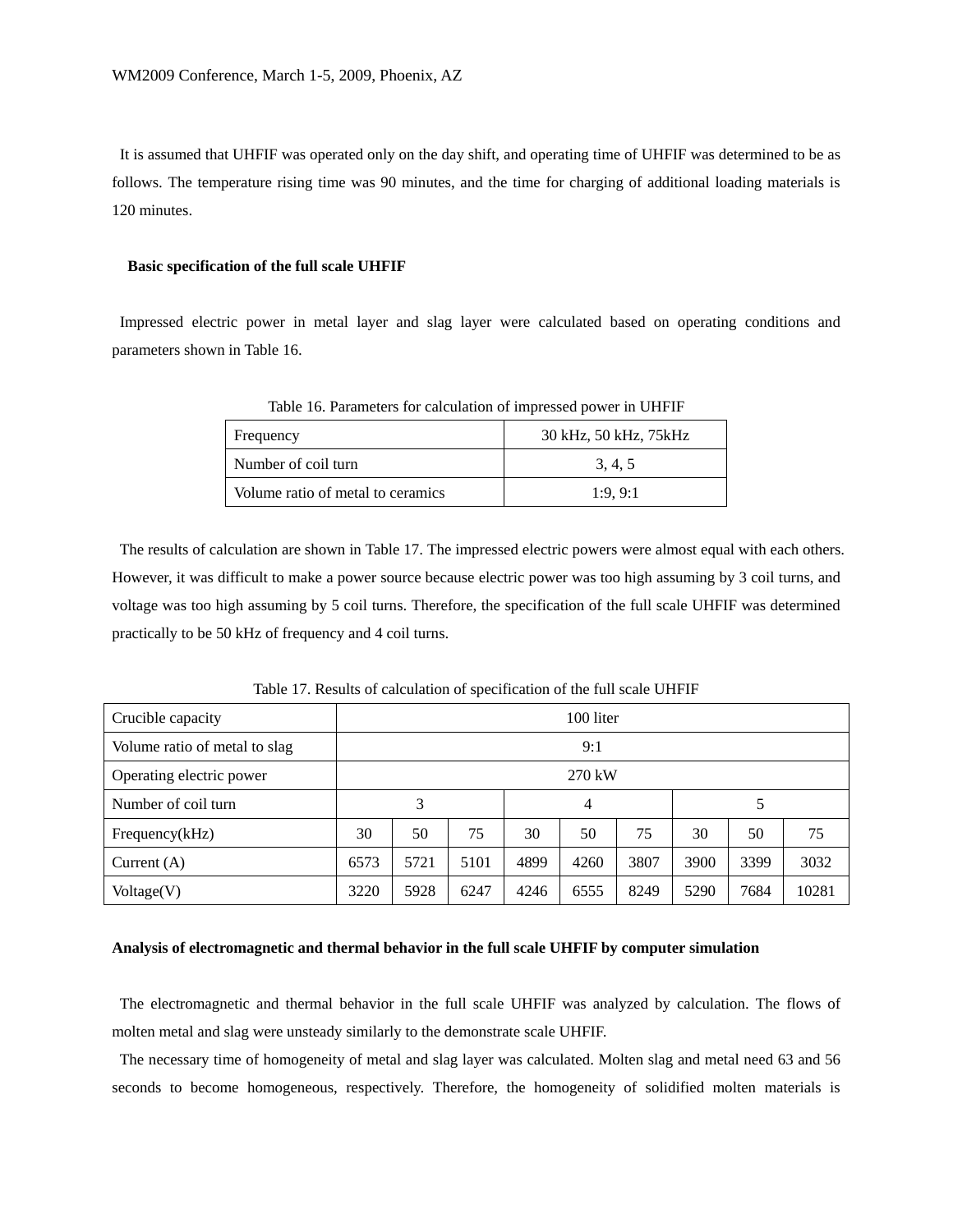It is assumed that UHFIF was operated only on the day shift, and operating time of UHFIF was determined to be as follows. The temperature rising time was 90 minutes, and the time for charging of additional loading materials is 120 minutes.

#### **Basic specification of the full scale UHFIF**

Impressed electric power in metal layer and slag layer were calculated based on operating conditions and parameters shown in Table 16.

| Frequency                         | 30 kHz, 50 kHz, 75 kHz |
|-----------------------------------|------------------------|
| Number of coil turn               | 3, 4, 5                |
| Volume ratio of metal to ceramics | 1:9.9:1                |

Table 16. Parameters for calculation of impressed power in UHFIF

The results of calculation are shown in Table 17. The impressed electric powers were almost equal with each others. However, it was difficult to make a power source because electric power was too high assuming by 3 coil turns, and voltage was too high assuming by 5 coil turns. Therefore, the specification of the full scale UHFIF was determined practically to be 50 kHz of frequency and 4 coil turns.

Table 17. Results of calculation of specification of the full scale UHFIF

| Crucible capacity             | 100 liter |      |      |      |      |      |      |      |       |
|-------------------------------|-----------|------|------|------|------|------|------|------|-------|
| Volume ratio of metal to slag | 9:1       |      |      |      |      |      |      |      |       |
| Operating electric power      | $270$ kW  |      |      |      |      |      |      |      |       |
| Number of coil turn           | 3         |      |      | 4    |      |      | 5    |      |       |
| Frequency(kHz)                | 30        | 50   | 75   | 30   | 50   | 75   | 30   | 50   | 75    |
| Current $(A)$                 | 6573      | 5721 | 5101 | 4899 | 4260 | 3807 | 3900 | 3399 | 3032  |
| Voltage(V)                    | 3220      | 5928 | 6247 | 4246 | 6555 | 8249 | 5290 | 7684 | 10281 |

## **Analysis of electromagnetic and thermal behavior in the full scale UHFIF by computer simulation**

The electromagnetic and thermal behavior in the full scale UHFIF was analyzed by calculation. The flows of molten metal and slag were unsteady similarly to the demonstrate scale UHFIF.

 The necessary time of homogeneity of metal and slag layer was calculated. Molten slag and metal need 63 and 56 seconds to become homogeneous, respectively. Therefore, the homogeneity of solidified molten materials is